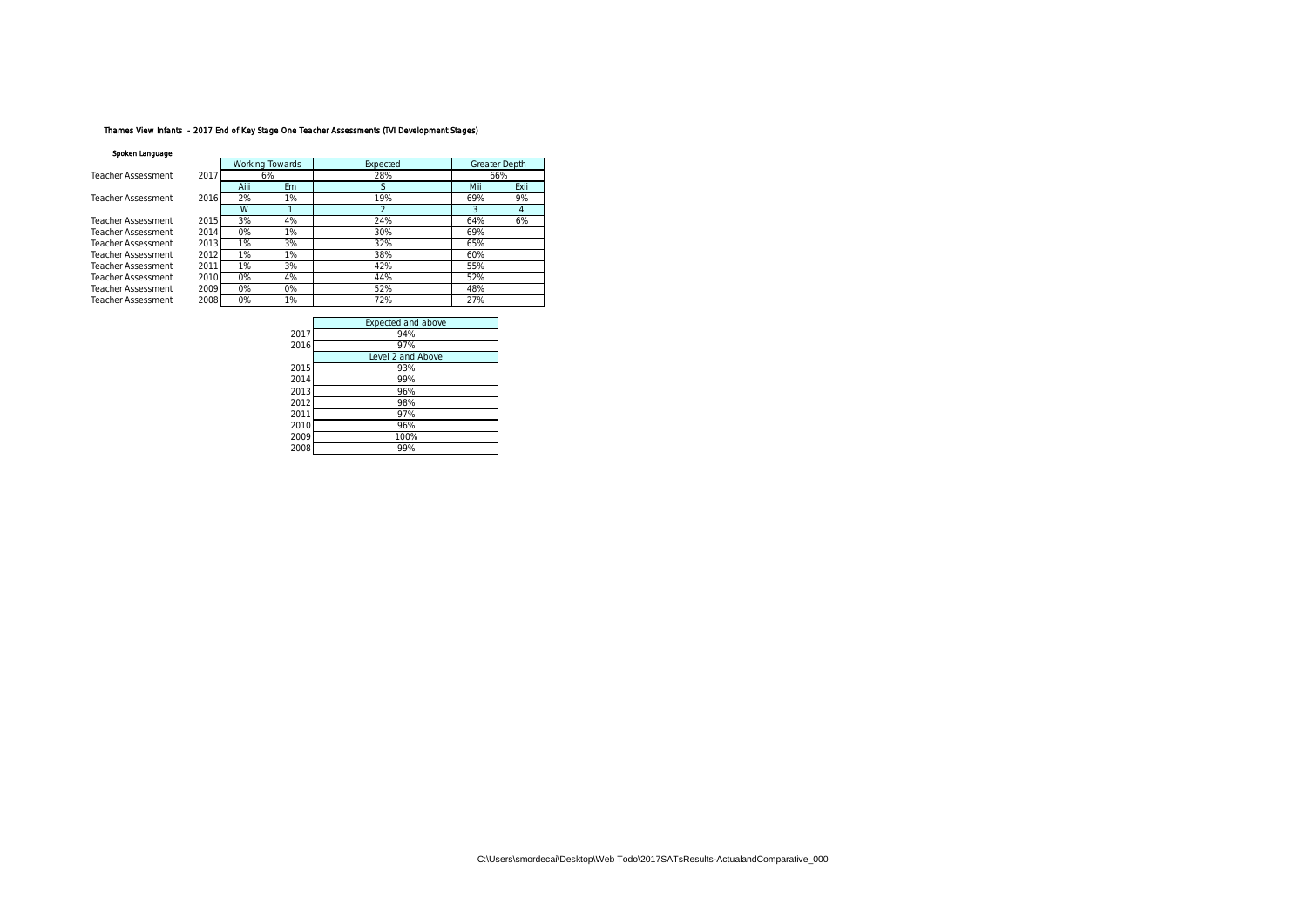# Thames View Infants - 2017 End of Key Stage One Teacher Assessments (TVI Development Stages)

#### Spoken Language

| opower carriedate  |      |       |                 |               |     |               |
|--------------------|------|-------|-----------------|---------------|-----|---------------|
|                    |      |       | Working Towards | Expected      |     | Greater Depth |
| Teacher Assessment | 2017 |       | 6%              | 28%           |     | 66%           |
|                    |      | Aiii  | Em              | S             | Mii | Exii          |
| Teacher Assessment | 2016 | 2%    | 1%              | 19%           | 69% | 9%            |
|                    |      | W     |                 | $\mathcal{P}$ | 3   |               |
| Teacher Assessment | 2015 | 3%    | 4%              | 24%           | 64% | 6%            |
| Teacher Assessment | 2014 | 0%    | 1%              | 30%           | 69% |               |
| Teacher Assessment | 2013 | 1%    | 3%              | 32%           | 65% |               |
| Teacher Assessment | 2012 | 1%    | 1%              | 38%           | 60% |               |
| Teacher Assessment | 2011 | 1%    | 3%              | 42%           | 55% |               |
| Teacher Assessment | 2010 | $0\%$ | 4%              | 44%           | 52% |               |
| Teacher Assessment | 2009 | $0\%$ | O%              | 52%           | 48% |               |
| Teacher Assessment | 2008 | 0%    | 1%              | 72%           | 27% |               |
|                    |      |       |                 |               |     |               |

|      | Expected and above |
|------|--------------------|
| 2017 | 94%                |
| 2016 | 97%                |
|      | Level 2 and Above  |
| 2015 | 93%                |
| 2014 | 99%                |
| 2013 | 96%                |
| 2012 | 98%                |
| 2011 | 97%                |
| 2010 | 96%                |
| 2009 | 100%               |
| 2008 | 99%                |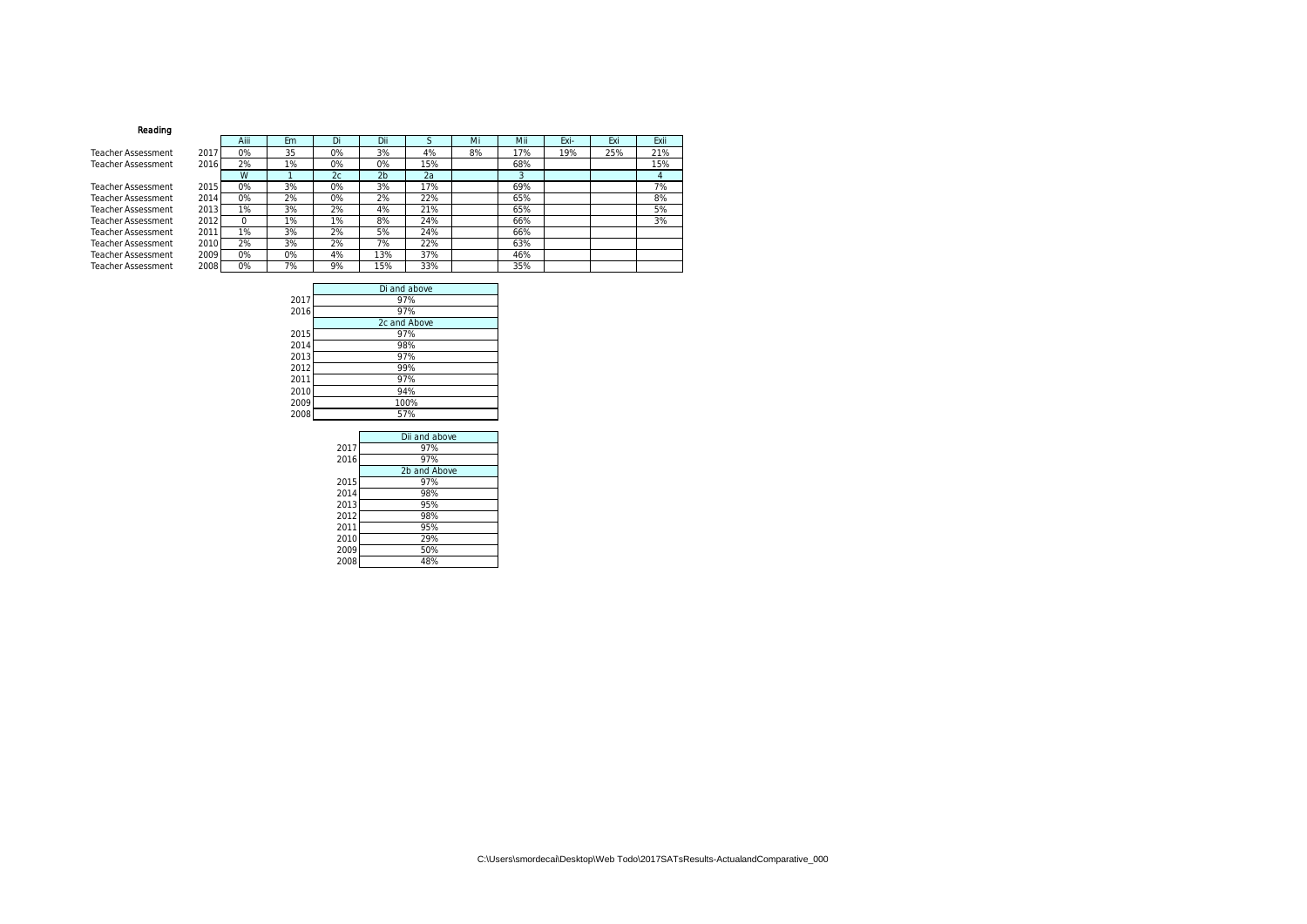## Reading

Teacher Assessment Teacher Assessment

Teacher Assessment Teacher Assessment Teacher Assessment Teacher Assessment Teacher Assessment Teacher Assessment Teacher Assessment Teacher Assessment

|      | AIII  | ЕM | Di | DШ             | ю   | MI | MIL | EXI- | EXI | EXII |
|------|-------|----|----|----------------|-----|----|-----|------|-----|------|
| 2017 | 0%    | 35 | 0% | 3%             | 4%  | 8% | 17% | 19%  | 25% | 21%  |
| 2016 | 2%    | 1% | 0% | 0%             | 15% |    | 68% |      |     | 15%  |
|      | W     |    | 2c | 2 <sub>b</sub> | 2a  |    | 3   |      |     | 4    |
| 2015 | 0%    | 3% | 0% | 3%             | 17% |    | 69% |      |     | 7%   |
| 2014 | 0%    | 2% | 0% | 2%             | 22% |    | 65% |      |     | 8%   |
| 2013 | 1%    | 3% | 2% | 4%             | 21% |    | 65% |      |     | 5%   |
| 2012 | 0     | 1% | 1% | 8%             | 24% |    | 66% |      |     | 3%   |
| 2011 | $1\%$ | 3% | 2% | 5%             | 24% |    | 66% |      |     |      |
| 2010 | 2%    | 3% | 2% | 7%             | 22% |    | 63% |      |     |      |
| 2009 | 0%    | 0% | 4% | 13%            | 37% |    | 46% |      |     |      |
| 2008 | 0%    | 7% | 9% | 15%            | 33% |    | 35% |      |     |      |

|      | Di and above |
|------|--------------|
| 2017 | 97%          |
| 2016 | 97%          |
|      | 2c and Above |
| 2015 | 97%          |
| 2014 | 98%          |
| 2013 | 97%          |
| 2012 | 99%          |
| 2011 | 97%          |
| 2010 | 94%          |
| 2009 | 100%         |
| 2008 | 57%          |
|      |              |

|      | Dii and above |
|------|---------------|
| 2017 | 97%           |
| 2016 | 97%           |
|      | 2b and Above  |
| 2015 | 97%           |
| 2014 | 98%           |
| 2013 | 95%           |
| 2012 | 98%           |
| 2011 | 95%           |
| 2010 | 29%           |
| 2009 | 50%           |
| 2008 | 48%           |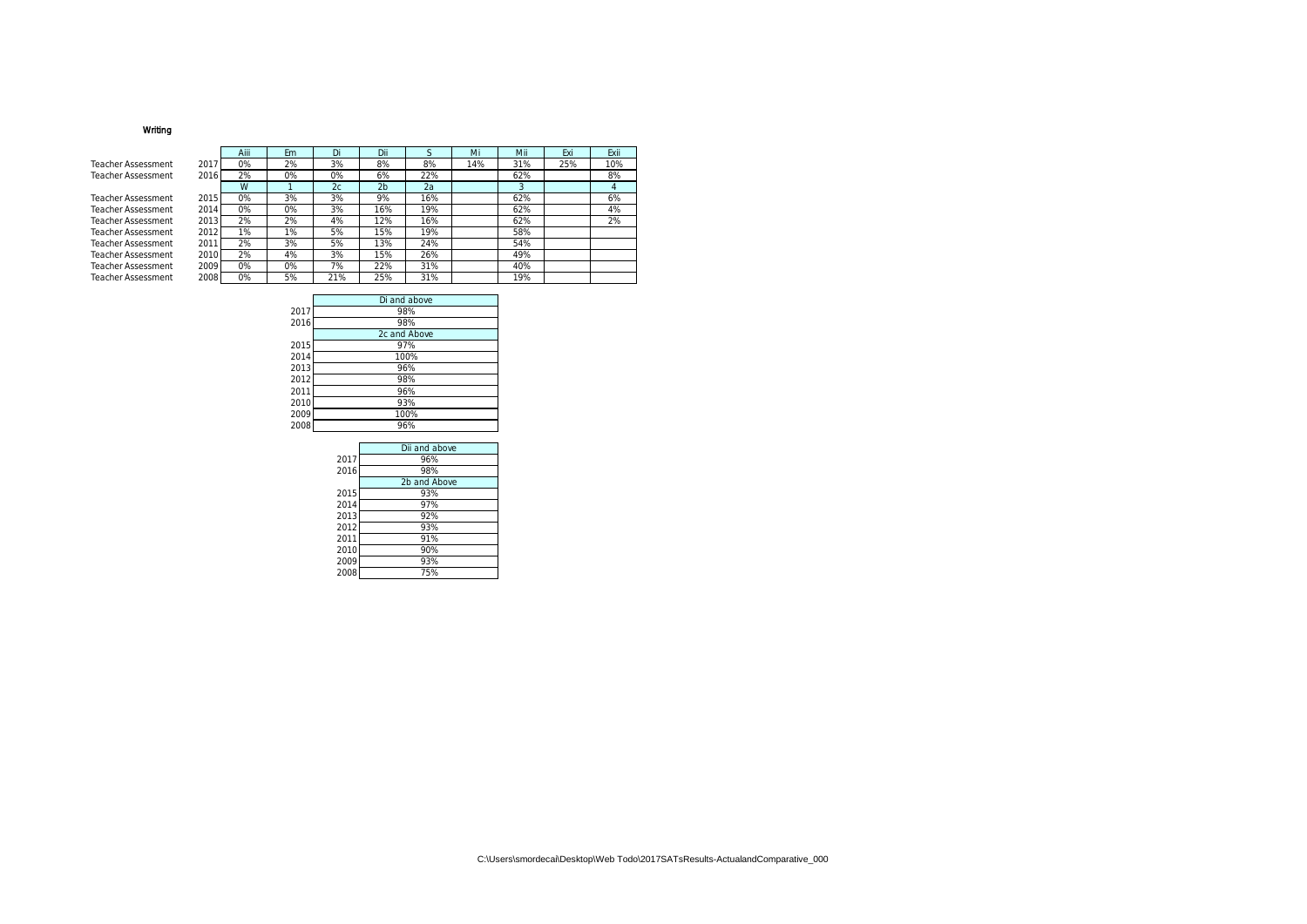# Writing

Teacher Assessment Teacher Assessment

Teacher Assessment Teacher Assessment Teacher Assessment Teacher Assessment Teacher Assessment 2011 Teacher Assessment 2010 Teacher Assessment 2016<br>Teacher Assessment 2009<br>Teacher Assessment 2008

|      | Aiii | Em | Di  | Dii            | S   | Mi  | Mii | Exi | Exii |
|------|------|----|-----|----------------|-----|-----|-----|-----|------|
| 2017 | 0%   | 2% | 3%  | 8%             | 8%  | 14% | 31% | 25% | 10%  |
| 2016 | 2%   | 0% | 0%  | 6%             | 22% |     | 62% |     | 8%   |
|      | W    |    | 2c  | 2 <sub>b</sub> | 2a  |     | 3   |     | 4    |
| 2015 | 0%   | 3% | 3%  | 9%             | 16% |     | 62% |     | 6%   |
| 2014 | 0%   | 0% | 3%  | 16%            | 19% |     | 62% |     | 4%   |
| 2013 | 2%   | 2% | 4%  | 12%            | 16% |     | 62% |     | 2%   |
| 2012 | 1%   | 1% | 5%  | 15%            | 19% |     | 58% |     |      |
| 201' | 2%   | 3% | 5%  | 3%             | 24% |     | 54% |     |      |
| 2010 | 2%   | 4% | 3%  | 15%            | 26% |     | 49% |     |      |
| 2009 | 0%   | 0% | 7%  | 22%            | 31% |     | 40% |     |      |
| 2008 | 0%   | 5% | 21% | 25%            | 31% |     | 19% |     |      |

|      | Di and above |
|------|--------------|
| 2017 | 98%          |
| 2016 | 98%          |
|      | 2c and Above |
| 2015 | 97%          |
| 2014 | 100%         |
| 2013 | 96%          |
| 2012 | 98%          |
| 2011 | 96%          |
| 2010 | 93%          |
| 2009 | 100%         |
| 2008 | 96%          |

|      | Dii and above |
|------|---------------|
| 2017 | 96%           |
| 2016 | 98%           |
|      | 2b and Above  |
| 2015 | 93%           |
| 2014 | 97%           |
| 2013 | 92%           |
| 2012 | 93%           |
| 2011 | 91%           |
| 2010 | 90%           |
| 2009 | 93%           |
| 2008 | 75%           |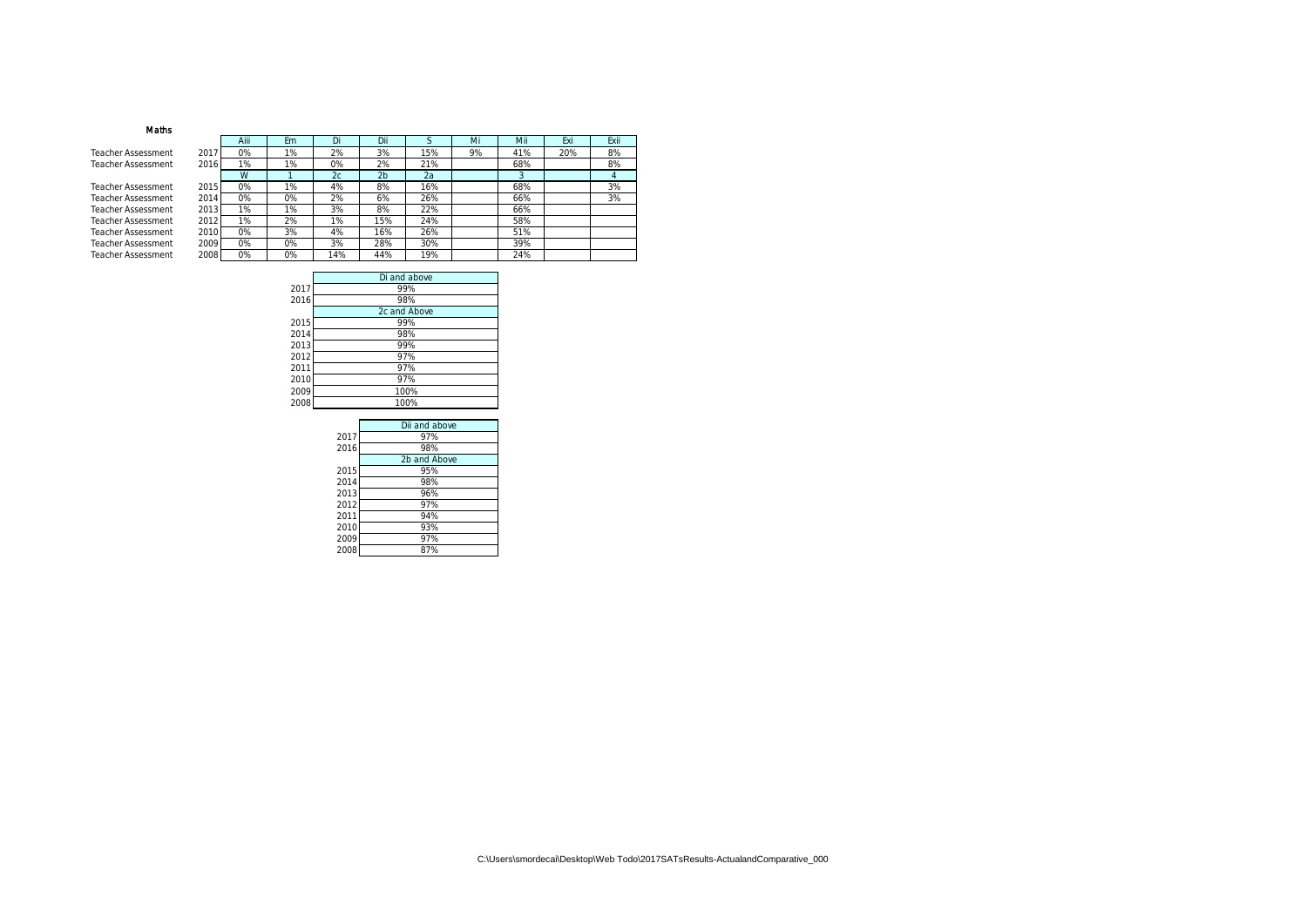## Maths

Teacher Assessment Teacher Assessment

Teacher Assessment Teacher Assessment Teacher Assessment Teacher Assessment Teacher Assessment Teacher Assessment Teacher Assessment 2008

|      | Aiii | Em | Di  | Dii            | S   | Mi | Mii | Exi | Exii |
|------|------|----|-----|----------------|-----|----|-----|-----|------|
| 2017 | 0%   | 1% | 2%  | 3%             | 15% | 9% | 41% | 20% | 8%   |
| 2016 | 1%   | 1% | 0%  | 2%             | 21% |    | 68% |     | 8%   |
|      | W    |    | 2c  | 2 <sub>b</sub> | 2a  |    | 3   |     | 4    |
| 2015 | 0%   | 1% | 4%  | 8%             | 16% |    | 68% |     | 3%   |
| 2014 | 0%   | 0% | 2%  | 6%             | 26% |    | 66% |     | 3%   |
| 2013 | 1%   | 1% | 3%  | 8%             | 22% |    | 66% |     |      |
| 2012 | 1%   | 2% | 1%  | 5%             | 24% |    | 58% |     |      |
| 2010 | 0%   | 3% | 4%  | 16%            | 26% |    | 51% |     |      |
| 2009 | 0%   | 0% | 3%  | 28%            | 30% |    | 39% |     |      |
| 2008 | 0%   | 0% | 14% | 44%            | 19% |    | 24% |     |      |

|      | Di and above |
|------|--------------|
| 2017 | 99%          |
| 2016 | 98%          |
|      | 2c and Above |
| 2015 | 99%          |
| 2014 | 98%          |
| 2013 | 99%          |
| 2012 | 97%          |
| 2011 | 97%          |
| 2010 | 97%          |
| 2009 | 100%         |
| 2008 | 100%         |
|      |              |

|      | Dii and above |
|------|---------------|
| 2017 | 97%           |
| 2016 | 98%           |
|      | 2b and Above  |
| 2015 | 95%           |
| 2014 | 98%           |
| 2013 | 96%           |
| 2012 | 97%           |
| 2011 | 94%           |
| 2010 | 93%           |
| 2009 | 97%           |
| 2008 | 87%           |